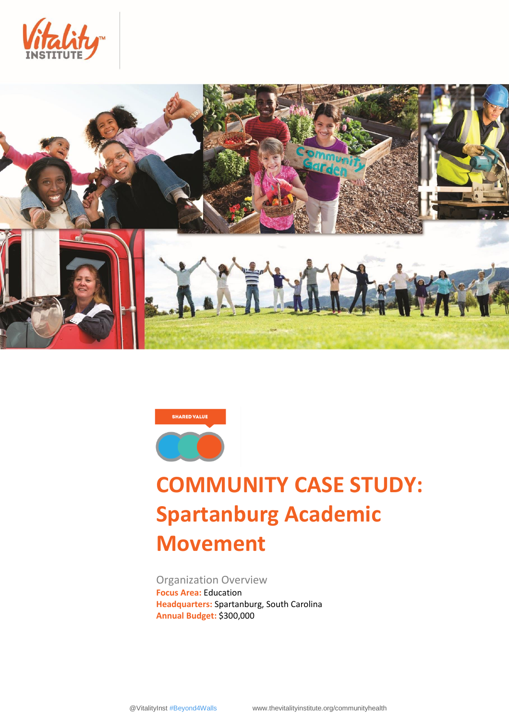





# **COMMUNITY CASE STUDY: Spartanburg Academic Movement**

Organization Overview **Focus Area:** Education **Headquarters:** Spartanburg, South Carolina **Annual Budget:** \$300,000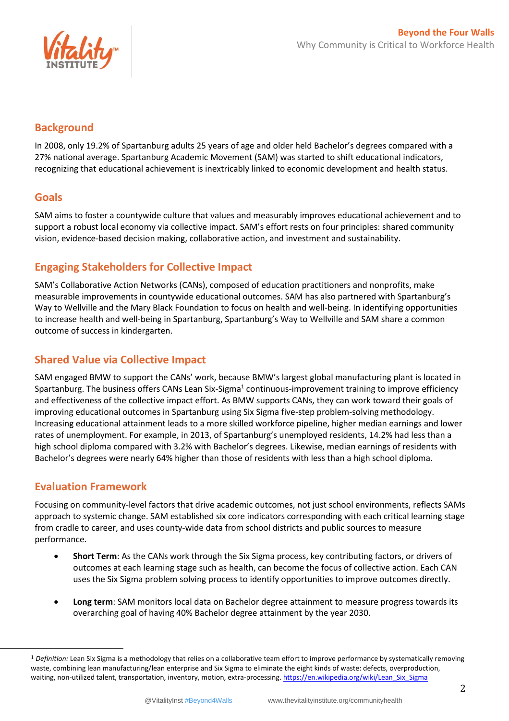

### **Background**

In 2008, only 19.2% of Spartanburg adults 25 years of age and older held Bachelor's degrees compared with a 27% national average. Spartanburg Academic Movement (SAM) was started to shift educational indicators, recognizing that educational achievement is inextricably linked to economic development and health status.

### **Goals**

SAM aims to foster a countywide culture that values and measurably improves educational achievement and to support a robust local economy via collective impact. SAM's effort rests on four principles: shared community vision, evidence-based decision making, collaborative action, and investment and sustainability.

# **Engaging Stakeholders for Collective Impact**

SAM's Collaborative Action Networks (CANs), composed of education practitioners and nonprofits, make measurable improvements in countywide educational outcomes. SAM has also partnered with Spartanburg's Way to Wellville and the Mary Black Foundation to focus on health and well-being. In identifying opportunities to increase health and well-being in Spartanburg, Spartanburg's Way to Wellville and SAM share a common outcome of success in kindergarten.

## **Shared Value via Collective Impact**

SAM engaged BMW to support the CANs' work, because BMW's largest global manufacturing plant is located in Spartanburg. The business offers CANs Lean Six-Sigma $^1$  continuous-improvement training to improve efficiency and effectiveness of the collective impact effort. As BMW supports CANs, they can work toward their goals of improving educational outcomes in Spartanburg using Six Sigma five-step problem-solving methodology. Increasing educational attainment leads to a more skilled workforce pipeline, higher median earnings and lower rates of unemployment. For example, in 2013, of Spartanburg's unemployed residents, 14.2% had less than a high school diploma compared with 3.2% with Bachelor's degrees. Likewise, median earnings of residents with Bachelor's degrees were nearly 64% higher than those of residents with less than a high school diploma.

## **Evaluation Framework**

 $\overline{a}$ 

Focusing on community-level factors that drive academic outcomes, not just school environments, reflects SAMs approach to systemic change. SAM established six core indicators corresponding with each critical learning stage from cradle to career, and uses county-wide data from school districts and public sources to measure performance.

- **Short Term**: As the CANs work through the Six Sigma process, key contributing factors, or drivers of outcomes at each learning stage such as health, can become the focus of collective action. Each CAN uses the Six Sigma problem solving process to identify opportunities to improve outcomes directly.
- **Long term**: SAM monitors local data on Bachelor degree attainment to measure progress towards its overarching goal of having 40% Bachelor degree attainment by the year 2030.

<sup>1</sup> *Definition:* Lean Six Sigma is a methodology that relies on a collaborative team effort to improve performance by systematically removing waste, combining [lean manufacturing/](https://en.wikipedia.org/wiki/Lean_manufacturing)[lean enterprise](https://en.wikipedia.org/wiki/Lean_enterprise) and [Six Sigma](https://en.wikipedia.org/wiki/Six_Sigma) to eliminate the eight kinds of waste: defects, overproduction, waiting, non-utilized talent, transportation, inventory, motion, extra-processing[. https://en.wikipedia.org/wiki/Lean\\_Six\\_Sigma](https://en.wikipedia.org/wiki/Lean_Six_Sigma)